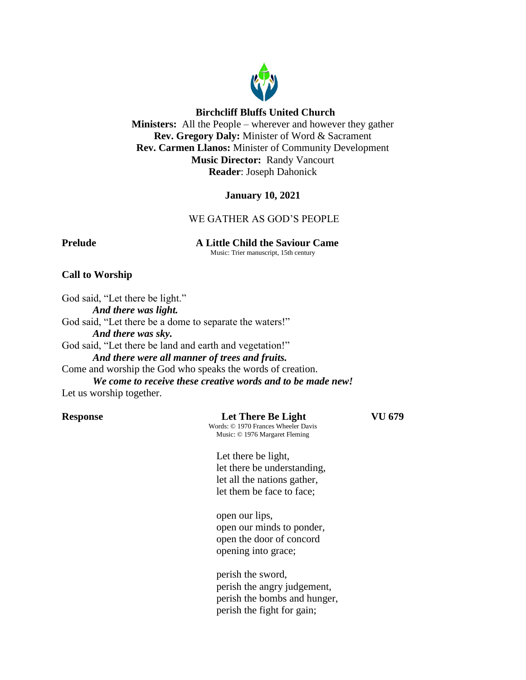

## **Birchcliff Bluffs United Church**

**Ministers:** All the People – wherever and however they gather **Rev. Gregory Daly:** Minister of Word & Sacrament **Rev. Carmen Llanos:** Minister of Community Development **Music Director:** Randy Vancourt **Reader**: Joseph Dahonick

### **January 10, 2021**

WE GATHER AS GOD'S PEOPLE

**Prelude A Little Child the Saviour Came**

Music: Trier manuscript, 15th century

### **Call to Worship**

God said, "Let there be light." *And there was light.* God said, "Let there be a dome to separate the waters!" *And there was sky.* God said, "Let there be land and earth and vegetation!" *And there were all manner of trees and fruits.* Come and worship the God who speaks the words of creation. *We come to receive these creative words and to be made new!* Let us worship together.

### **Response Let There Be Light VU 679**

Words: © 1970 Frances Wheeler Davis Music: © 1976 Margaret Fleming

Let there be light, let there be understanding, let all the nations gather, let them be face to face;

open our lips, open our minds to ponder, open the door of concord opening into grace;

perish the sword, perish the angry judgement, perish the bombs and hunger, perish the fight for gain;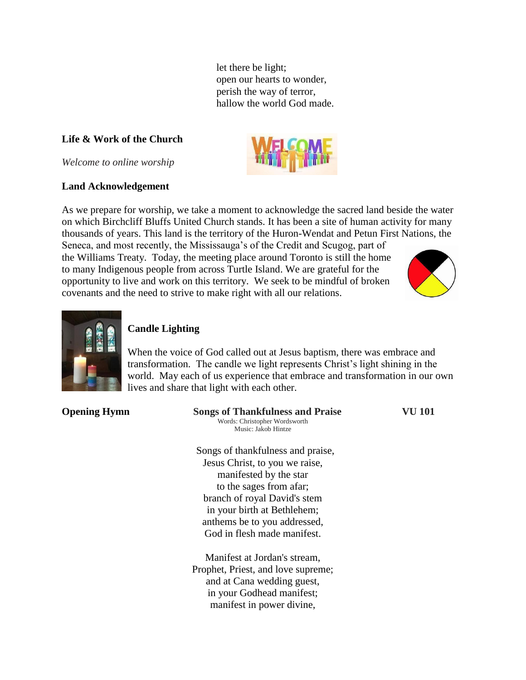let there be light; open our hearts to wonder, perish the way of terror, hallow the world God made.

# **Life & Work of the Church**

*Welcome to online worship*

#### **Land Acknowledgement**

As we prepare for worship, we take a moment to acknowledge the sacred land beside the water on which Birchcliff Bluffs United Church stands. It has been a site of human activity for many thousands of years. This land is the territory of the Huron-Wendat and Petun First Nations, the

Seneca, and most recently, the Mississauga's of the Credit and Scugog, part of the Williams Treaty. Today, the meeting place around Toronto is still the home to many Indigenous people from across Turtle Island. We are grateful for the opportunity to live and work on this territory. We seek to be mindful of broken covenants and the need to strive to make right with all our relations.





# **Candle Lighting**

When the voice of God called out at Jesus baptism, there was embrace and transformation. The candle we light represents Christ's light shining in the world. May each of us experience that embrace and transformation in our own lives and share that light with each other.

| <b>Opening Hymn</b> | <b>Songs of Thankfulness and Praise</b><br>Words: Christopher Wordsworth<br>Music: Jakob Hintze | VU 101 |
|---------------------|-------------------------------------------------------------------------------------------------|--------|
|                     | Songs of thankfulness and praise,                                                               |        |
|                     | Jesus Christ, to you we raise,                                                                  |        |
|                     | manifested by the star                                                                          |        |
|                     | to the sages from a far;                                                                        |        |
|                     | branch of royal David's stem                                                                    |        |
|                     | in your birth at Bethlehem;                                                                     |        |
|                     | anthems be to you addressed,                                                                    |        |
|                     | God in flesh made manifest.                                                                     |        |

Manifest at Jordan's stream, Prophet, Priest, and love supreme; and at Cana wedding guest, in your Godhead manifest; manifest in power divine,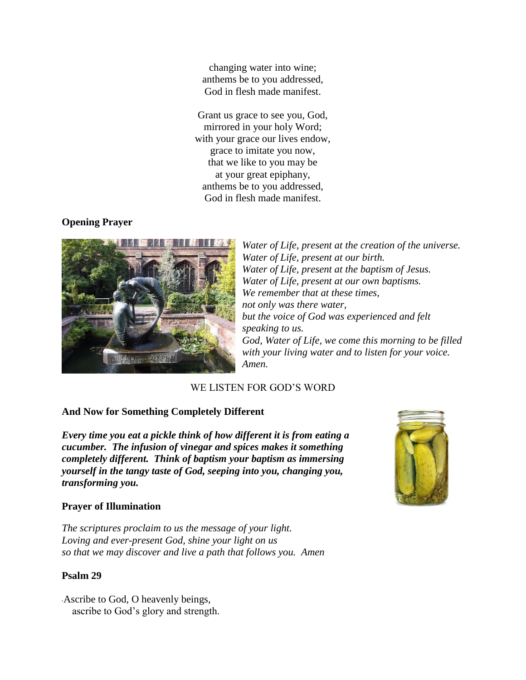changing water into wine; anthems be to you addressed, God in flesh made manifest.

Grant us grace to see you, God, mirrored in your holy Word; with your grace our lives endow, grace to imitate you now, that we like to you may be at your great epiphany, anthems be to you addressed, God in flesh made manifest.

# **Opening Prayer**



*Water of Life, present at the creation of the universe. Water of Life, present at our birth. Water of Life, present at the baptism of Jesus. Water of Life, present at our own baptisms. We remember that at these times, not only was there water, but the voice of God was experienced and felt speaking to us. God, Water of Life, we come this morning to be filled with your living water and to listen for your voice. Amen.*

# WE LISTEN FOR GOD'S WORD

# **And Now for Something Completely Different**

*Every time you eat a pickle think of how different it is from eating a cucumber. The infusion of vinegar and spices makes it something completely different. Think of baptism your baptism as immersing yourself in the tangy taste of God, seeping into you, changing you, transforming you.*



## **Prayer of Illumination**

*The scriptures proclaim to us the message of your light. Loving and ever-present God, shine your light on us so that we may discover and live a path that follows you. Amen*

# **Psalm 29**

**<sup>1</sup>**Ascribe to God, O heavenly beings, ascribe to God's glory and strength.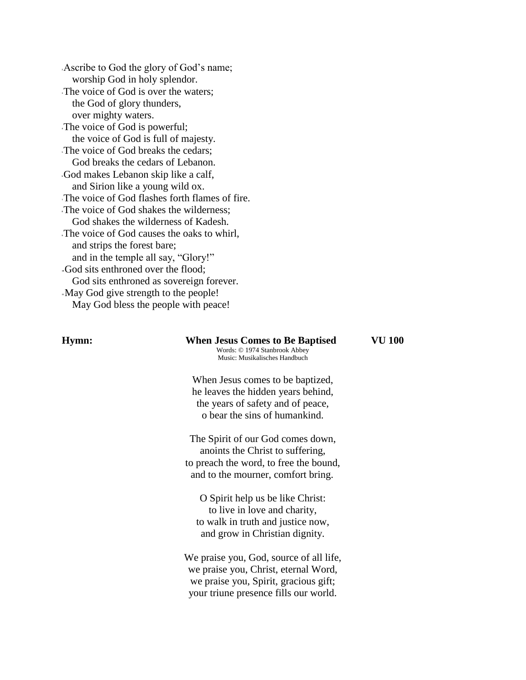**<sup>2</sup>**Ascribe to God the glory of God's name; worship God in holy splendor. **<sup>3</sup>**The voice of God is over the waters; the God of glory thunders, over mighty waters. **<sup>4</sup>**The voice of God is powerful; the voice of God is full of majesty. **<sup>5</sup>**The voice of God breaks the cedars; God breaks the cedars of Lebanon. **<sup>6</sup>**God makes Lebanon skip like a calf, and Sirion like a young wild ox. **<sup>7</sup>**The voice of God flashes forth flames of fire. **<sup>8</sup>**The voice of God shakes the wilderness; God shakes the wilderness of Kadesh. **<sup>9</sup>**The voice of God causes the oaks to whirl, and strips the forest bare; and in the temple all say, "Glory!" **<sup>10</sup>**God sits enthroned over the flood; God sits enthroned as sovereign forever. **<sup>11</sup>**May God give strength to the people! May God bless the people with peace!

**Hymn: When Jesus Comes to Be Baptised VU 100** Words: © 1974 Stanbrook Abbey Music: Musikalisches Handbuch

When Jesus comes to be baptized, he leaves the hidden years behind, the years of safety and of peace, o bear the sins of humankind.

The Spirit of our God comes down, anoints the Christ to suffering, to preach the word, to free the bound, and to the mourner, comfort bring.

O Spirit help us be like Christ: to live in love and charity, to walk in truth and justice now, and grow in Christian dignity.

We praise you, God, source of all life, we praise you, Christ, eternal Word, we praise you, Spirit, gracious gift; your triune presence fills our world.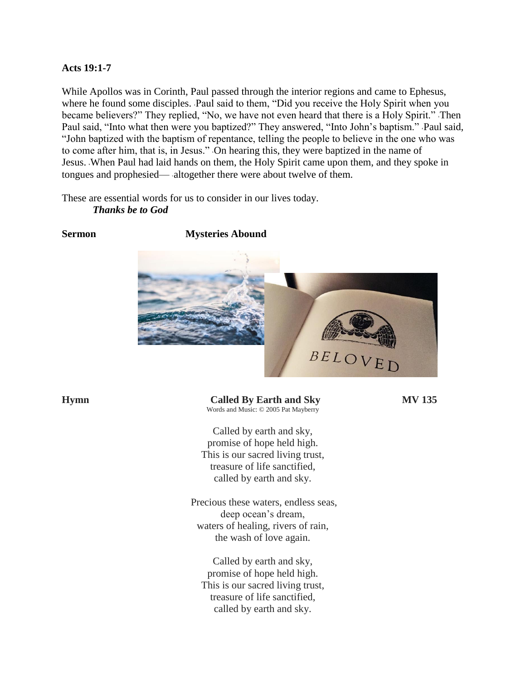### **Acts 19:1-7**

While Apollos was in Corinth, Paul passed through the interior regions and came to Ephesus, where he found some disciples. Paul said to them, "Did you receive the Holy Spirit when you became believers?" They replied, "No, we have not even heard that there is a Holy Spirit." **<sup>3</sup>**Then Paul said, "Into what then were you baptized?" They answered, "Into John's baptism." Paul said, "John baptized with the baptism of repentance, telling the people to believe in the one who was to come after him, that is, in Jesus." **<sup>5</sup>**On hearing this, they were baptized in the name of Jesus. When Paul had laid hands on them, the Holy Spirit came upon them, and they spoke in tongues and prophesied— altogether there were about twelve of them.

These are essential words for us to consider in our lives today. *Thanks be to God*

**Sermon Mysteries Abound**



**Hymn** Called By Earth and Sky MV 135 Words and Music: © 2005 Pat Mayberry

> Called by earth and sky, promise of hope held high. This is our sacred living trust, treasure of life sanctified, called by earth and sky.

Precious these waters, endless seas, deep ocean's dream, waters of healing, rivers of rain, the wash of love again.

Called by earth and sky, promise of hope held high. This is our sacred living trust, treasure of life sanctified, called by earth and sky.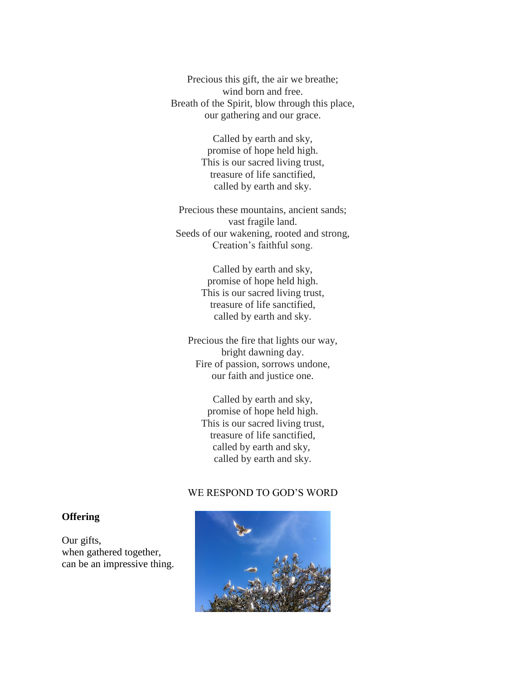Precious this gift, the air we breathe; wind born and free. Breath of the Spirit, blow through this place, our gathering and our grace.

> Called by earth and sky, promise of hope held high. This is our sacred living trust, treasure of life sanctified, called by earth and sky.

Precious these mountains, ancient sands; vast fragile land. Seeds of our wakening, rooted and strong, Creation's faithful song.

> Called by earth and sky, promise of hope held high. This is our sacred living trust, treasure of life sanctified, called by earth and sky.

Precious the fire that lights our way, bright dawning day. Fire of passion, sorrows undone, our faith and justice one.

Called by earth and sky, promise of hope held high. This is our sacred living trust, treasure of life sanctified, called by earth and sky, called by earth and sky.

## WE RESPOND TO GOD'S WORD

#### **Offering**

Our gifts, when gathered together, can be an impressive thing.

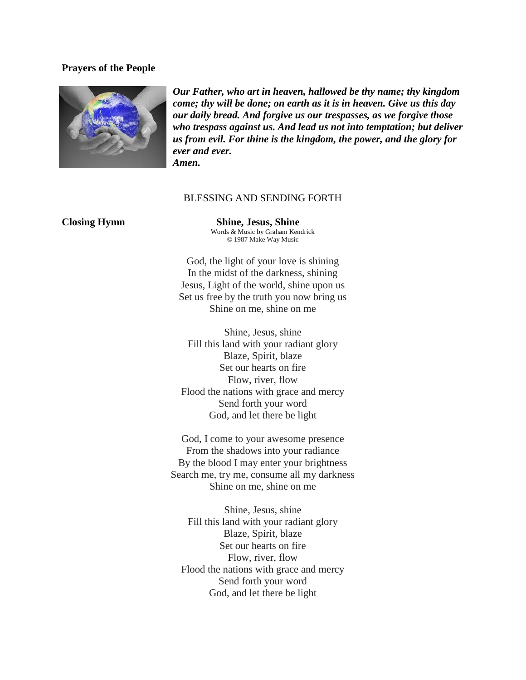#### **Prayers of the People**



*Our Father, who art in heaven, hallowed be thy name; thy kingdom come; thy will be done; on earth as it is in heaven. Give us this day our daily bread. And forgive us our trespasses, as we forgive those who trespass against us. And lead us not into temptation; but deliver us from evil. For thine is the kingdom, the power, and the glory for ever and ever. Amen.*

#### BLESSING AND SENDING FORTH

**Closing Hymn Shine, Jesus, Shine** Words & Music by Graham Kendrick © 1987 Make Way Music

> God, the light of your love is shining In the midst of the darkness, shining Jesus, Light of the world, shine upon us Set us free by the truth you now bring us Shine on me, shine on me

Shine, Jesus, shine Fill this land with your radiant glory Blaze, Spirit, blaze Set our hearts on fire Flow, river, flow Flood the nations with grace and mercy Send forth your word God, and let there be light

God, I come to your awesome presence From the shadows into your radiance By the blood I may enter your brightness Search me, try me, consume all my darkness Shine on me, shine on me

Shine, Jesus, shine Fill this land with your radiant glory Blaze, Spirit, blaze Set our hearts on fire Flow, river, flow Flood the nations with grace and mercy Send forth your word God, and let there be light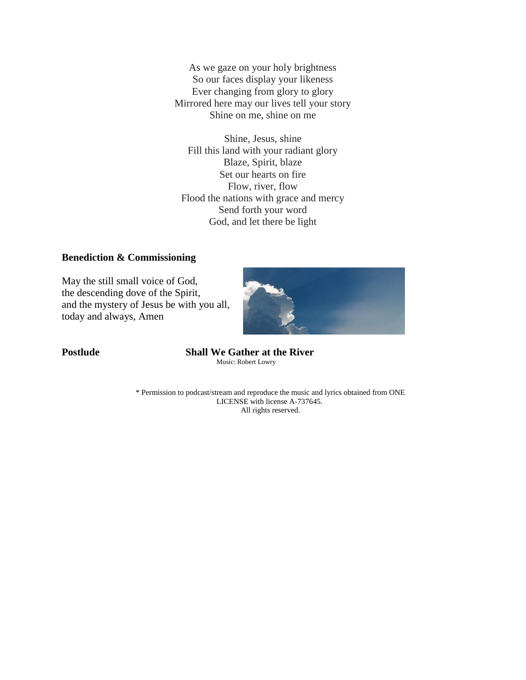As we gaze on your holy brightness So our faces display your likeness Ever changing from glory to glory Mirrored here may our lives tell your story Shine on me, shine on me

Shine, Jesus, shine Fill this land with your radiant glory Blaze, Spirit, blaze Set our hearts on fire Flow, river, flow Flood the nations with grace and mercy Send forth your word God, and let there be light

### **Benediction & Commissioning**

May the still small voice of God, the descending dove of the Spirit, and the mystery of Jesus be with you all, today and always, Amen



**Postlude Shall We Gather at the River** Music: Robert Lowry

> \* Permission to podcast/stream and reproduce the music and lyrics obtained from ONE LICENSE with license A-737645. All rights reserved.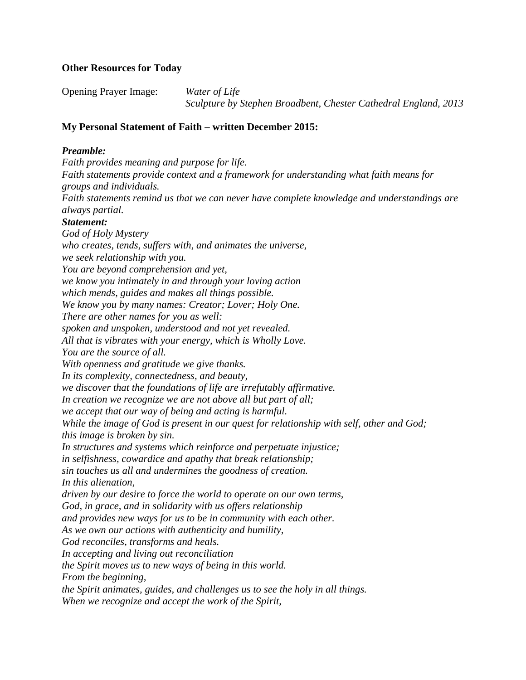## **Other Resources for Today**

| <b>Opening Prayer Image:</b> | Water of Life |                                                                 |
|------------------------------|---------------|-----------------------------------------------------------------|
|                              |               | Sculpture by Stephen Broadbent, Chester Cathedral England, 2013 |

## **My Personal Statement of Faith – written December 2015:**

## *Preamble:*

*Faith provides meaning and purpose for life. Faith statements provide context and a framework for understanding what faith means for groups and individuals. Faith statements remind us that we can never have complete knowledge and understandings are always partial. Statement: God of Holy Mystery who creates, tends, suffers with, and animates the universe, we seek relationship with you. You are beyond comprehension and yet, we know you intimately in and through your loving action which mends, guides and makes all things possible. We know you by many names: Creator; Lover; Holy One. There are other names for you as well: spoken and unspoken, understood and not yet revealed. All that is vibrates with your energy, which is Wholly Love. You are the source of all. With openness and gratitude we give thanks. In its complexity, connectedness, and beauty, we discover that the foundations of life are irrefutably affirmative. In creation we recognize we are not above all but part of all; we accept that our way of being and acting is harmful. While the image of God is present in our quest for relationship with self, other and God; this image is broken by sin. In structures and systems which reinforce and perpetuate injustice; in selfishness, cowardice and apathy that break relationship; sin touches us all and undermines the goodness of creation. In this alienation, driven by our desire to force the world to operate on our own terms, God, in grace, and in solidarity with us offers relationship and provides new ways for us to be in community with each other. As we own our actions with authenticity and humility, God reconciles, transforms and heals. In accepting and living out reconciliation the Spirit moves us to new ways of being in this world. From the beginning, the Spirit animates, guides, and challenges us to see the holy in all things. When we recognize and accept the work of the Spirit,*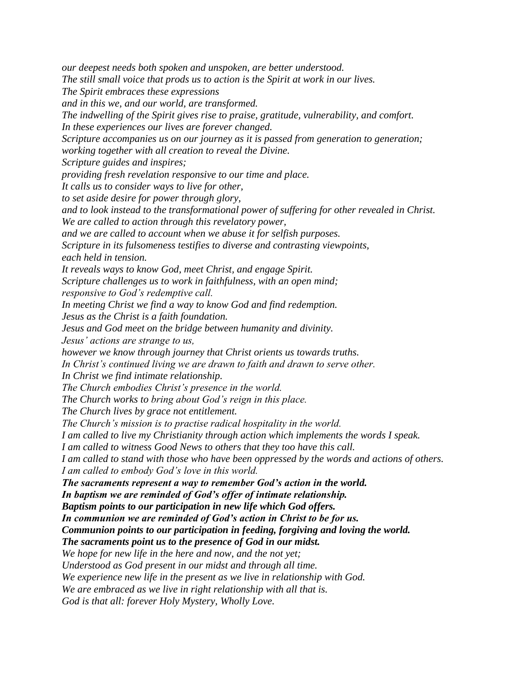*our deepest needs both spoken and unspoken, are better understood. The still small voice that prods us to action is the Spirit at work in our lives. The Spirit embraces these expressions and in this we, and our world, are transformed. The indwelling of the Spirit gives rise to praise, gratitude, vulnerability, and comfort. In these experiences our lives are forever changed. Scripture accompanies us on our journey as it is passed from generation to generation; working together with all creation to reveal the Divine. Scripture guides and inspires; providing fresh revelation responsive to our time and place. It calls us to consider ways to live for other, to set aside desire for power through glory, and to look instead to the transformational power of suffering for other revealed in Christ. We are called to action through this revelatory power, and we are called to account when we abuse it for selfish purposes. Scripture in its fulsomeness testifies to diverse and contrasting viewpoints, each held in tension. It reveals ways to know God, meet Christ, and engage Spirit. Scripture challenges us to work in faithfulness, with an open mind; responsive to God's redemptive call. In meeting Christ we find a way to know God and find redemption. Jesus as the Christ is a faith foundation. Jesus and God meet on the bridge between humanity and divinity. Jesus' actions are strange to us, however we know through journey that Christ orients us towards truths. In Christ's continued living we are drawn to faith and drawn to serve other. In Christ we find intimate relationship. The Church embodies Christ's presence in the world. The Church works to bring about God's reign in this place. The Church lives by grace not entitlement. The Church's mission is to practise radical hospitality in the world. I am called to live my Christianity through action which implements the words I speak. I am called to witness Good News to others that they too have this call. I am called to stand with those who have been oppressed by the words and actions of others. I am called to embody God's love in this world. The sacraments represent a way to remember God's action in the world. In baptism we are reminded of God's offer of intimate relationship. Baptism points to our participation in new life which God offers. In communion we are reminded of God's action in Christ to be for us. Communion points to our participation in feeding, forgiving and loving the world. The sacraments point us to the presence of God in our midst. We hope for new life in the here and now, and the not yet; Understood as God present in our midst and through all time. We experience new life in the present as we live in relationship with God. We are embraced as we live in right relationship with all that is. God is that all: forever Holy Mystery, Wholly Love.*